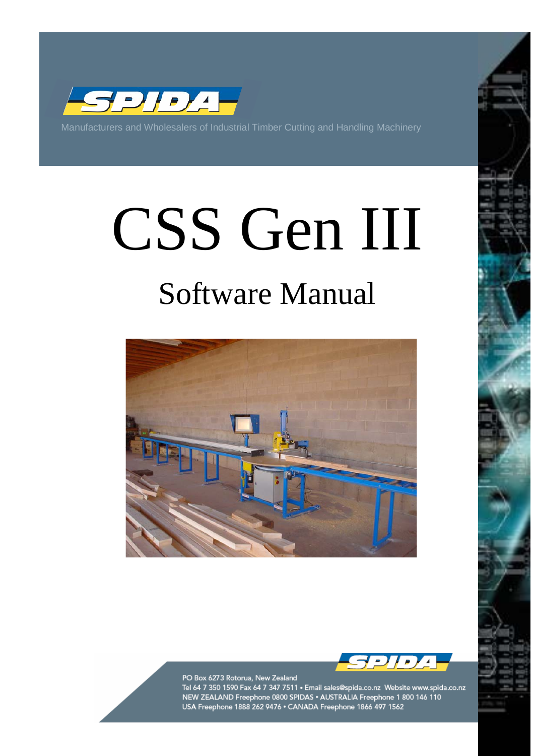

Manufacturers and Wholesalers of Industrial Timber Cutting and Handling Machinery

# CSS Gen III Software Manual





PO Box 6273 Rotorua, New Zealand

Tel 64 7 350 1590 Fax 64 7 347 7511 • Email sales@spida.co.nz Website www.spida.co.nz<br>NEW ZEALAND Freephone 0800 SPIDAS • AUSTRALIA Freephone 1 800 146 110 USA Freephone 1888 262 9476 · CANADA Freephone 1866 497 1562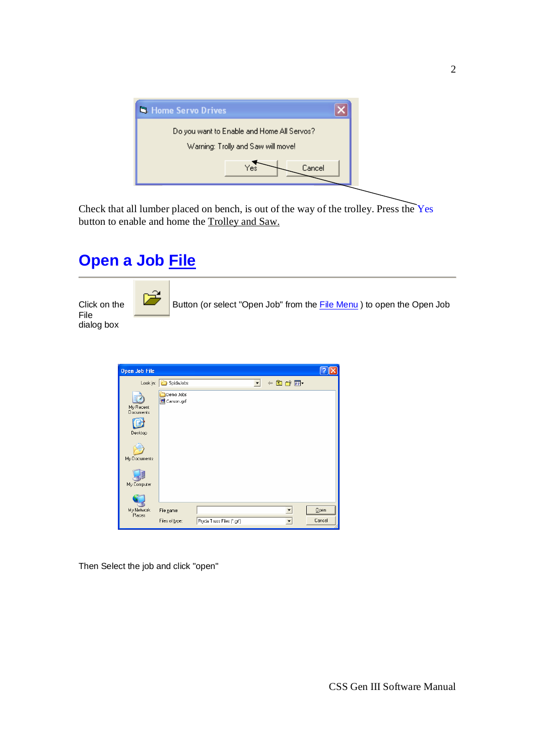

Check that all lumber placed on bench, is out of the way of the trolley. Press the Yes button to enable and home the Trolley and Saw.

# **Open a Job File**

File dialog box



Click on the Button (or select "Open Job" from the File Menu ) to open the Open Job

| <b>Open Job File</b>                                     |                                                                 |        |
|----------------------------------------------------------|-----------------------------------------------------------------|--------|
| Look in:                                                 | $+ \boxtimes \bullet \boxtimes \bullet$<br>SpidaJobs<br>$\vert$ |        |
| My Recent<br><b>Documents</b><br>Desktop<br>My Documents | Demo Jobs<br>国 Carson.grf                                       |        |
| My Computer                                              |                                                                 |        |
|                                                          |                                                                 |        |
| My Network<br>Places                                     | File name:                                                      | Qpen   |
|                                                          | Files of type:<br>Pryda Truss Files (".grf)                     | Cancel |

Then Select the job and click "open"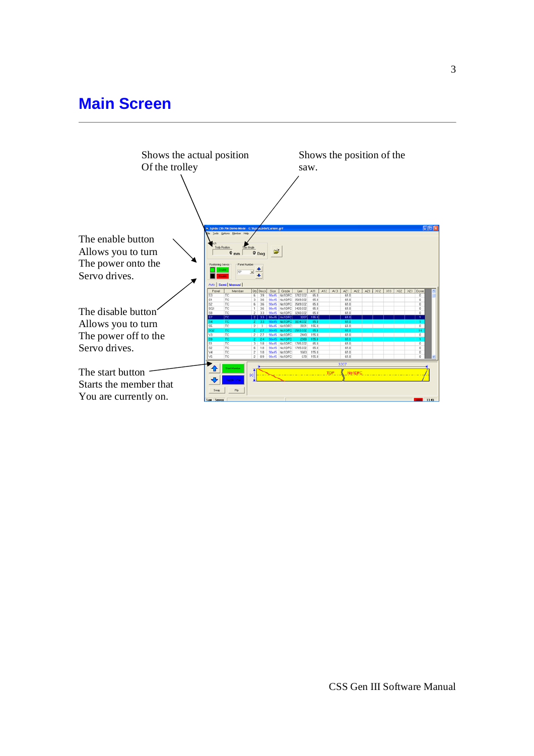## **Main Screen**

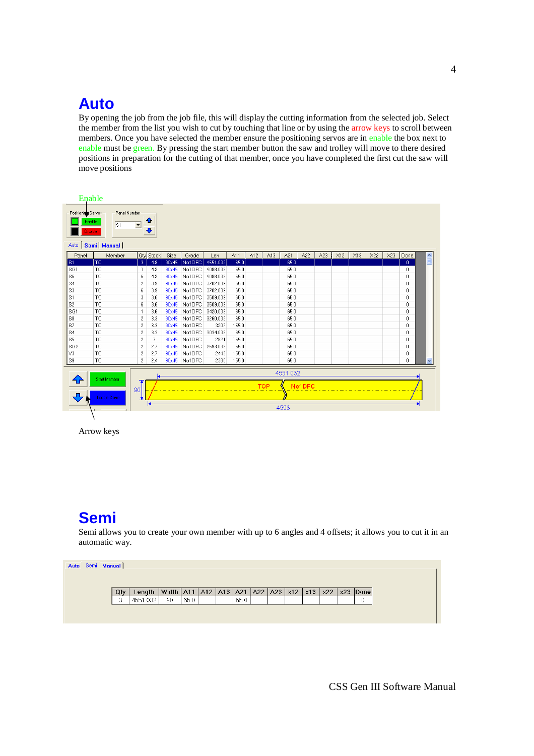## **Auto**

By opening the job from the job file, this will display the cutting information from the selected job. Select the member from the list you wish to cut by touching that line or by using the arrow keys to scroll between members. Once you have selected the member ensure the positioning servos are in enable the box next to enable must be green. By pressing the start member button the saw and trolley will move to there desired positions in preparation for the cutting of that member, once you have completed the first cut the saw will move positions

| Panel Number<br>Positioning Servos<br>≏<br>Enable:<br>s <sub>1</sub><br>$\vert \cdot \vert$<br>⊕<br><b>Disable</b><br>Semi Manual<br>Auto  <br>X23<br>Panel<br>Member<br><b>Qty</b> Stock<br>Size<br>A11<br>A12<br>A13<br>A21<br>A22<br>A23<br>X12<br>X13<br>X22<br>Grade<br>Done<br>$\hat{\phantom{a}}$<br>Len<br><b>TC</b><br>-3<br>65.0<br>S1<br>90×45<br>No1DFC<br>4551.032<br>65.0<br>4.8<br>n.<br>SG1<br><b>TC</b><br>No1DFC<br>65.0<br>65.0<br>90×45<br>4088.032<br>$\mathbf{1}$<br>4.2<br>0<br>S6<br><b>TC</b><br>65.0<br>6<br>No1DFC<br>4088.032<br>65.0<br>4.2<br>90×45<br>0<br>S4<br><b>TC</b><br>2<br>No1DFC<br>3702.032<br>65.0<br>65.0<br>3.9<br>90×45<br>0<br><b>TC</b><br>S3<br>6<br>No1DFC<br>3702.032<br>65.0<br>65.0<br>90×45<br>0<br>3.9<br><b>TC</b><br>65.0<br>S1<br>3<br>No1DFC<br>65.0<br>3.6<br>90×45<br>3509.032<br>0<br>S <sub>2</sub><br><b>TC</b><br>No1DFC<br>65.0<br>3509.032<br>65.0<br>6<br>3.6<br>90×45<br>0<br><b>TC</b><br>SG1<br>No1DFC<br>3420.032<br>65.0<br>65.0<br>3.6<br>90×45<br>$\mathbf{1}$<br>Ũ<br>S8<br><b>TC</b><br>$\overline{c}$<br>No1DFC<br>65.0<br>65.0<br>3.3<br>90×45<br>3260.032<br>0<br>S7<br><b>TC</b><br>65.0<br>$\overline{\mathbf{c}}$<br>No1DFC<br>155.0<br>3.3<br>90×45<br>3207<br>0<br><b>TC</b><br>$\sqrt{2}$<br>S4<br>90×45<br>No1DFC<br>3034.032<br>65.0<br>65.0<br>3.3<br>0<br>S5<br>$\overline{c}$<br>65.0<br>TC<br>No1DFC<br>155.0<br>3<br>90×45<br>2821<br>Ū.<br><b>TC</b><br>SG <sub>2</sub><br>$\overline{c}$<br>No1DFC<br>2593.032<br>65.0<br>2.7<br>90×45<br>65.0<br>0<br><b>TC</b><br>V3<br>$\mathbf{2}$<br>65.0<br>2.7<br>90×45<br>No1DFC<br>155.0<br>2443<br>0<br><b>TC</b><br>$\overline{c}$<br>155.0<br>65.0<br>S9<br>90x45 No1DFC<br>2380<br>2.4<br>0<br>v<br>4551.032<br><b>Start Member</b><br>No1DFC<br><b>TOP</b><br>90<br>Toggle Done<br>4593 | Enable |  |  |  |  |  |  |  |  |  |
|-------------------------------------------------------------------------------------------------------------------------------------------------------------------------------------------------------------------------------------------------------------------------------------------------------------------------------------------------------------------------------------------------------------------------------------------------------------------------------------------------------------------------------------------------------------------------------------------------------------------------------------------------------------------------------------------------------------------------------------------------------------------------------------------------------------------------------------------------------------------------------------------------------------------------------------------------------------------------------------------------------------------------------------------------------------------------------------------------------------------------------------------------------------------------------------------------------------------------------------------------------------------------------------------------------------------------------------------------------------------------------------------------------------------------------------------------------------------------------------------------------------------------------------------------------------------------------------------------------------------------------------------------------------------------------------------------------------------------------------------------------------------------------------------------------------------------------------|--------|--|--|--|--|--|--|--|--|--|
|                                                                                                                                                                                                                                                                                                                                                                                                                                                                                                                                                                                                                                                                                                                                                                                                                                                                                                                                                                                                                                                                                                                                                                                                                                                                                                                                                                                                                                                                                                                                                                                                                                                                                                                                                                                                                                     |        |  |  |  |  |  |  |  |  |  |
|                                                                                                                                                                                                                                                                                                                                                                                                                                                                                                                                                                                                                                                                                                                                                                                                                                                                                                                                                                                                                                                                                                                                                                                                                                                                                                                                                                                                                                                                                                                                                                                                                                                                                                                                                                                                                                     |        |  |  |  |  |  |  |  |  |  |
|                                                                                                                                                                                                                                                                                                                                                                                                                                                                                                                                                                                                                                                                                                                                                                                                                                                                                                                                                                                                                                                                                                                                                                                                                                                                                                                                                                                                                                                                                                                                                                                                                                                                                                                                                                                                                                     |        |  |  |  |  |  |  |  |  |  |
|                                                                                                                                                                                                                                                                                                                                                                                                                                                                                                                                                                                                                                                                                                                                                                                                                                                                                                                                                                                                                                                                                                                                                                                                                                                                                                                                                                                                                                                                                                                                                                                                                                                                                                                                                                                                                                     |        |  |  |  |  |  |  |  |  |  |
|                                                                                                                                                                                                                                                                                                                                                                                                                                                                                                                                                                                                                                                                                                                                                                                                                                                                                                                                                                                                                                                                                                                                                                                                                                                                                                                                                                                                                                                                                                                                                                                                                                                                                                                                                                                                                                     |        |  |  |  |  |  |  |  |  |  |
|                                                                                                                                                                                                                                                                                                                                                                                                                                                                                                                                                                                                                                                                                                                                                                                                                                                                                                                                                                                                                                                                                                                                                                                                                                                                                                                                                                                                                                                                                                                                                                                                                                                                                                                                                                                                                                     |        |  |  |  |  |  |  |  |  |  |
|                                                                                                                                                                                                                                                                                                                                                                                                                                                                                                                                                                                                                                                                                                                                                                                                                                                                                                                                                                                                                                                                                                                                                                                                                                                                                                                                                                                                                                                                                                                                                                                                                                                                                                                                                                                                                                     |        |  |  |  |  |  |  |  |  |  |
|                                                                                                                                                                                                                                                                                                                                                                                                                                                                                                                                                                                                                                                                                                                                                                                                                                                                                                                                                                                                                                                                                                                                                                                                                                                                                                                                                                                                                                                                                                                                                                                                                                                                                                                                                                                                                                     |        |  |  |  |  |  |  |  |  |  |
|                                                                                                                                                                                                                                                                                                                                                                                                                                                                                                                                                                                                                                                                                                                                                                                                                                                                                                                                                                                                                                                                                                                                                                                                                                                                                                                                                                                                                                                                                                                                                                                                                                                                                                                                                                                                                                     |        |  |  |  |  |  |  |  |  |  |
|                                                                                                                                                                                                                                                                                                                                                                                                                                                                                                                                                                                                                                                                                                                                                                                                                                                                                                                                                                                                                                                                                                                                                                                                                                                                                                                                                                                                                                                                                                                                                                                                                                                                                                                                                                                                                                     |        |  |  |  |  |  |  |  |  |  |
|                                                                                                                                                                                                                                                                                                                                                                                                                                                                                                                                                                                                                                                                                                                                                                                                                                                                                                                                                                                                                                                                                                                                                                                                                                                                                                                                                                                                                                                                                                                                                                                                                                                                                                                                                                                                                                     |        |  |  |  |  |  |  |  |  |  |
|                                                                                                                                                                                                                                                                                                                                                                                                                                                                                                                                                                                                                                                                                                                                                                                                                                                                                                                                                                                                                                                                                                                                                                                                                                                                                                                                                                                                                                                                                                                                                                                                                                                                                                                                                                                                                                     |        |  |  |  |  |  |  |  |  |  |
|                                                                                                                                                                                                                                                                                                                                                                                                                                                                                                                                                                                                                                                                                                                                                                                                                                                                                                                                                                                                                                                                                                                                                                                                                                                                                                                                                                                                                                                                                                                                                                                                                                                                                                                                                                                                                                     |        |  |  |  |  |  |  |  |  |  |
|                                                                                                                                                                                                                                                                                                                                                                                                                                                                                                                                                                                                                                                                                                                                                                                                                                                                                                                                                                                                                                                                                                                                                                                                                                                                                                                                                                                                                                                                                                                                                                                                                                                                                                                                                                                                                                     |        |  |  |  |  |  |  |  |  |  |
|                                                                                                                                                                                                                                                                                                                                                                                                                                                                                                                                                                                                                                                                                                                                                                                                                                                                                                                                                                                                                                                                                                                                                                                                                                                                                                                                                                                                                                                                                                                                                                                                                                                                                                                                                                                                                                     |        |  |  |  |  |  |  |  |  |  |
|                                                                                                                                                                                                                                                                                                                                                                                                                                                                                                                                                                                                                                                                                                                                                                                                                                                                                                                                                                                                                                                                                                                                                                                                                                                                                                                                                                                                                                                                                                                                                                                                                                                                                                                                                                                                                                     |        |  |  |  |  |  |  |  |  |  |
|                                                                                                                                                                                                                                                                                                                                                                                                                                                                                                                                                                                                                                                                                                                                                                                                                                                                                                                                                                                                                                                                                                                                                                                                                                                                                                                                                                                                                                                                                                                                                                                                                                                                                                                                                                                                                                     |        |  |  |  |  |  |  |  |  |  |
|                                                                                                                                                                                                                                                                                                                                                                                                                                                                                                                                                                                                                                                                                                                                                                                                                                                                                                                                                                                                                                                                                                                                                                                                                                                                                                                                                                                                                                                                                                                                                                                                                                                                                                                                                                                                                                     |        |  |  |  |  |  |  |  |  |  |
|                                                                                                                                                                                                                                                                                                                                                                                                                                                                                                                                                                                                                                                                                                                                                                                                                                                                                                                                                                                                                                                                                                                                                                                                                                                                                                                                                                                                                                                                                                                                                                                                                                                                                                                                                                                                                                     |        |  |  |  |  |  |  |  |  |  |
|                                                                                                                                                                                                                                                                                                                                                                                                                                                                                                                                                                                                                                                                                                                                                                                                                                                                                                                                                                                                                                                                                                                                                                                                                                                                                                                                                                                                                                                                                                                                                                                                                                                                                                                                                                                                                                     |        |  |  |  |  |  |  |  |  |  |
|                                                                                                                                                                                                                                                                                                                                                                                                                                                                                                                                                                                                                                                                                                                                                                                                                                                                                                                                                                                                                                                                                                                                                                                                                                                                                                                                                                                                                                                                                                                                                                                                                                                                                                                                                                                                                                     |        |  |  |  |  |  |  |  |  |  |
|                                                                                                                                                                                                                                                                                                                                                                                                                                                                                                                                                                                                                                                                                                                                                                                                                                                                                                                                                                                                                                                                                                                                                                                                                                                                                                                                                                                                                                                                                                                                                                                                                                                                                                                                                                                                                                     |        |  |  |  |  |  |  |  |  |  |
|                                                                                                                                                                                                                                                                                                                                                                                                                                                                                                                                                                                                                                                                                                                                                                                                                                                                                                                                                                                                                                                                                                                                                                                                                                                                                                                                                                                                                                                                                                                                                                                                                                                                                                                                                                                                                                     |        |  |  |  |  |  |  |  |  |  |
|                                                                                                                                                                                                                                                                                                                                                                                                                                                                                                                                                                                                                                                                                                                                                                                                                                                                                                                                                                                                                                                                                                                                                                                                                                                                                                                                                                                                                                                                                                                                                                                                                                                                                                                                                                                                                                     |        |  |  |  |  |  |  |  |  |  |
|                                                                                                                                                                                                                                                                                                                                                                                                                                                                                                                                                                                                                                                                                                                                                                                                                                                                                                                                                                                                                                                                                                                                                                                                                                                                                                                                                                                                                                                                                                                                                                                                                                                                                                                                                                                                                                     |        |  |  |  |  |  |  |  |  |  |

Arrow keys

## **Semi**

Semi allows you to create your own member with up to 6 angles and 4 offsets; it allows you to cut it in an automatic way.

| Auto Semi   Manual |     |          |                                                                         |      |  |      |  |  |  |  |
|--------------------|-----|----------|-------------------------------------------------------------------------|------|--|------|--|--|--|--|
|                    |     |          |                                                                         |      |  |      |  |  |  |  |
|                    |     |          |                                                                         |      |  |      |  |  |  |  |
|                    | Qty | Length   | Width   A11   A12   A13   A21   A22   A23   x12   x13   x22   x23  Done |      |  |      |  |  |  |  |
|                    | -2  | 4551.032 | 90                                                                      | 65.0 |  | 65.0 |  |  |  |  |
|                    |     |          |                                                                         |      |  |      |  |  |  |  |
|                    |     |          |                                                                         |      |  |      |  |  |  |  |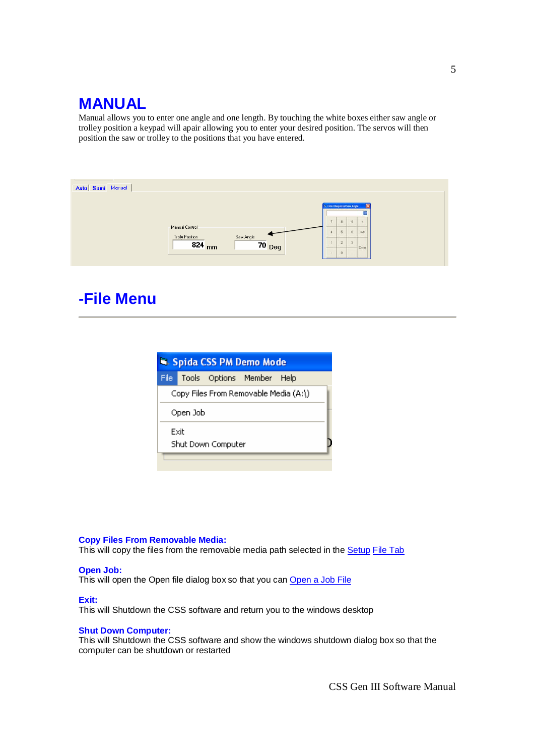## **MANUAL**

Manual allows you to enter one angle and one length. By touching the white boxes either saw angle or trolley position a keypad will apair allowing you to enter your desired position. The servos will then position the saw or trolley to the positions that you have entered.

| Auto Semi Manual |                              |          |                            |                |                         |  |
|------------------|------------------------------|----------|----------------------------|----------------|-------------------------|--|
|                  |                              |          |                            |                |                         |  |
|                  |                              |          | S Enter Required Saw Angle |                |                         |  |
|                  | Manual Control               |          |                            | $\overline{8}$ | $\alpha$                |  |
|                  | Saw Angle<br>Trolly Position |          | $\sim$                     | $\overline{6}$ | 6<br>CLR                |  |
|                  | 824 mm                       | $70$ Deg |                            | $\ddot{z}$     | $\overline{3}$<br>Enter |  |
|                  |                              |          |                            | $\mathbf{0}$   |                         |  |

## **-File Menu**

|      |          |                    | Sa Spida CSS PM Demo Mode             |  |  |  |
|------|----------|--------------------|---------------------------------------|--|--|--|
|      |          |                    | File Tools Options Member Help        |  |  |  |
|      |          |                    | Copy Files From Removable Media (A:\) |  |  |  |
|      | Open Job |                    |                                       |  |  |  |
| Exit |          | Shut Down Computer |                                       |  |  |  |
|      |          |                    |                                       |  |  |  |

#### **Copy Files From Removable Media:**

This will copy the files from the removable media path selected in the **Setup File Tab** 

#### **Open Job:**

This will open the Open file dialog box so that you can Open a Job File

**Exit:**

This will Shutdown the CSS software and return you to the windows desktop

#### **Shut Down Computer:**

This will Shutdown the CSS software and show the windows shutdown dialog box so that the computer can be shutdown or restarted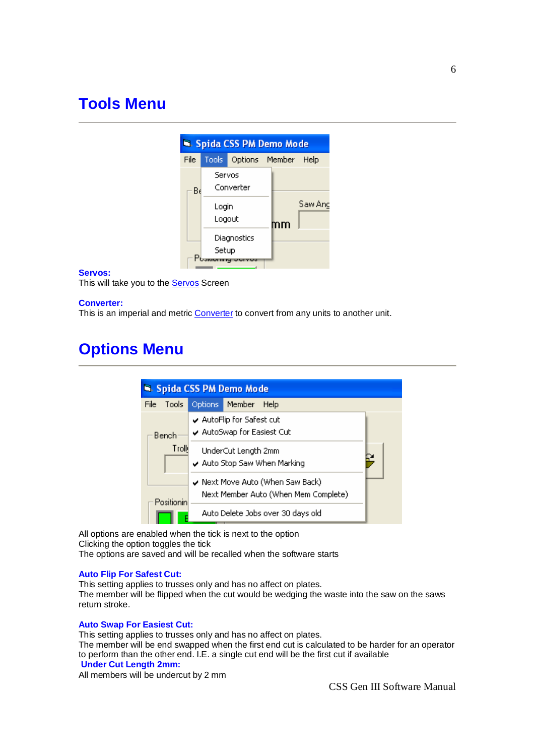## **Tools Menu**



#### **Servos:**

This will take you to the **Servos** Screen

#### **Converter:**

This is an imperial and metric Converter to convert from any units to another unit.

## **Options Menu**

|      |                                                            |         | Spida CSS PM Demo Mode                                                   |  |  |  |  |  |
|------|------------------------------------------------------------|---------|--------------------------------------------------------------------------|--|--|--|--|--|
| File | <b>Tools</b>                                               | Options | Member<br>Help                                                           |  |  |  |  |  |
|      | Bench                                                      |         | AutoFlip for Safest cut<br>$\checkmark$ AutoSwap for Easiest Cut         |  |  |  |  |  |
|      | Troll<br>UnderCut Length 2mm<br>Auto Stop Saw When Marking |         |                                                                          |  |  |  |  |  |
|      | Positionin                                                 |         | ✔ Next Move Auto (When Saw Back)<br>Next Member Auto (When Mem Complete) |  |  |  |  |  |
|      |                                                            |         | Auto Delete Jobs over 30 days old                                        |  |  |  |  |  |

All options are enabled when the tick is next to the option Clicking the option toggles the tick The options are saved and will be recalled when the software starts

#### **Auto Flip For Safest Cut:**

This setting applies to trusses only and has no affect on plates. The member will be flipped when the cut would be wedging the waste into the saw on the saws return stroke.

#### **Auto Swap For Easiest Cut:**

This setting applies to trusses only and has no affect on plates. The member will be end swapped when the first end cut is calculated to be harder for an operator to perform than the other end. I.E. a single cut end will be the first cut if available **Under Cut Length 2mm:**

All members will be undercut by 2 mm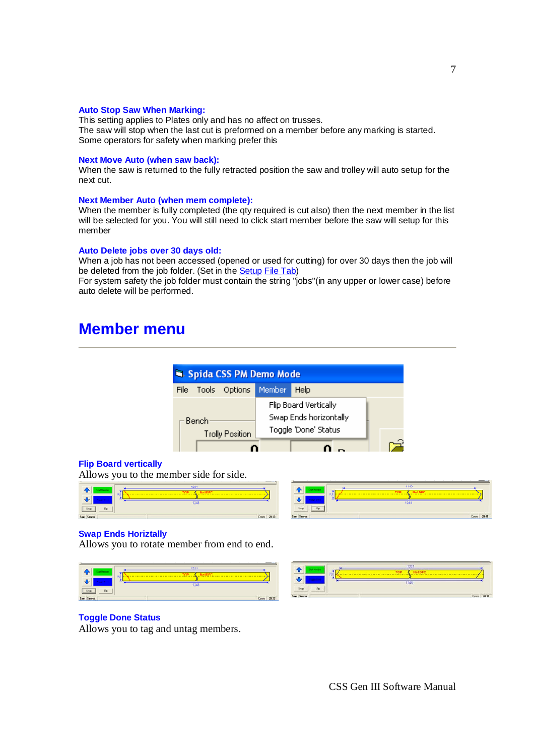#### **Auto Stop Saw When Marking:**

This setting applies to Plates only and has no affect on trusses. The saw will stop when the last cut is preformed on a member before any marking is started. Some operators for safety when marking prefer this

#### **Next Move Auto (when saw back):**

When the saw is returned to the fully retracted position the saw and trolley will auto setup for the next cut.

#### **Next Member Auto (when mem complete):**

When the member is fully completed (the qty required is cut also) then the next member in the list will be selected for you. You will still need to click start member before the saw will setup for this member

#### **Auto Delete jobs over 30 days old:**

When a job has not been accessed (opened or used for cutting) for over 30 days then the job will be deleted from the job folder. (Set in the **Setup File Tab)** 

For system safety the job folder must contain the string "jobs"(in any upper or lower case) before auto delete will be performed.

### **Member menu**



#### **Flip Board vertically**

Allows you to the member side for side.

|            | 1221                                                                                                                                                                                                                                                                        |       |
|------------|-----------------------------------------------------------------------------------------------------------------------------------------------------------------------------------------------------------------------------------------------------------------------------|-------|
|            | 70<br><u>A market and the state of the state of the state of the state of the state of the state of the state of the state of the state of the state of the state of the state of the state of the state of the state of the state of </u><br>___________________<br>$\sim$ |       |
|            |                                                                                                                                                                                                                                                                             |       |
|            | 1248                                                                                                                                                                                                                                                                        |       |
| 5m<br>Flo  |                                                                                                                                                                                                                                                                             |       |
| Saw Serves | Conne                                                                                                                                                                                                                                                                       | 20:33 |



#### **Swap Ends Horiztally**

Allows you to rotate member from end to end.





#### **Toggle Done Status**

Allows you to tag and untag members.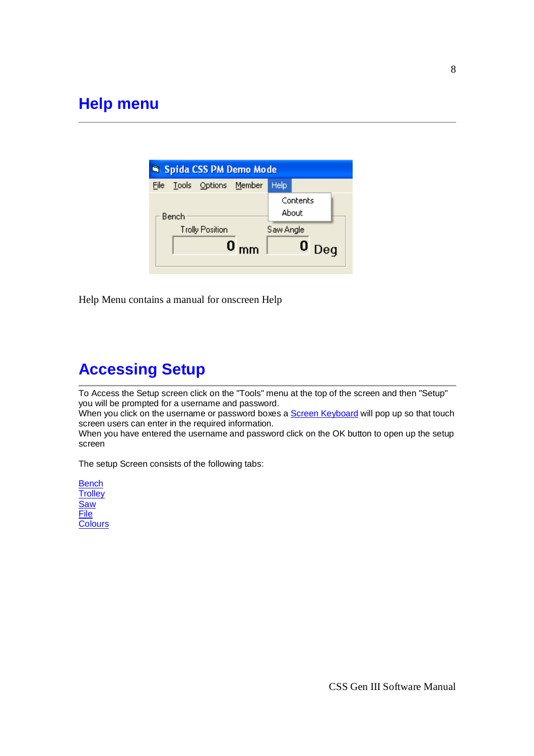|      |       |                        | Si Spida CSS PM Demo Mode |           |                   |     |  |
|------|-------|------------------------|---------------------------|-----------|-------------------|-----|--|
| File |       | Tools Options Member   |                           | Help      |                   |     |  |
|      | Bench |                        |                           |           | Contents<br>About |     |  |
|      |       | <b>Trolly Position</b> |                           | Saw Angle |                   |     |  |
|      |       |                        | $\mathbf{0}_{\text{mm}}$  |           |                   | Deq |  |

Help Menu contains a manual for onscreen Help

# **Accessing Setup**

To Access the Setup screen click on the "Tools" menu at the top of the screen and then "Setup" you will be prompted for a username and password.

When you click on the username or password boxes a **Screen Keyboard** will pop up so that touch screen users can enter in the required information.

When you have entered the username and password click on the OK button to open up the setup screen

The setup Screen consists of the following tabs:

**Bench Trolley Saw** File **Colours**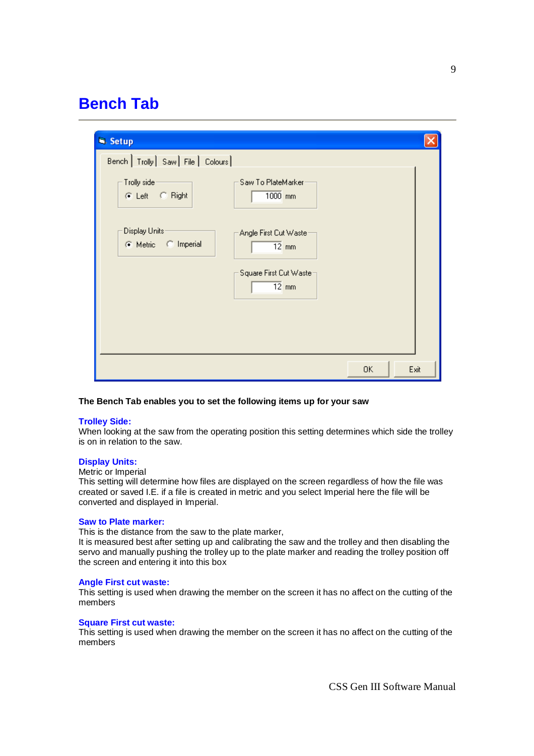## **Bench Tab**

| <b>N</b> . Setup                      |                                               |    |      |
|---------------------------------------|-----------------------------------------------|----|------|
| Bench   Trolly   Saw   File   Colours |                                               |    |      |
| Trolly side:<br>C Left C Right        | Saw To PlateMarker<br>$1000$ <sub>mm</sub>    |    |      |
| Display Units:<br>C Metric C Imperial | Angle First Cut Waster<br>$\overline{12}$ mm  |    |      |
|                                       | Square First Cut Waster<br>$\overline{12}$ mm |    |      |
|                                       |                                               |    |      |
|                                       |                                               | 0K | Exit |

#### **The Bench Tab enables you to set the following items up for your saw**

#### **Trolley Side:**

When looking at the saw from the operating position this setting determines which side the trolley is on in relation to the saw.

#### **Display Units:**

#### Metric or Imperial

This setting will determine how files are displayed on the screen regardless of how the file was created or saved I.E. if a file is created in metric and you select Imperial here the file will be converted and displayed in Imperial.

#### **Saw to Plate marker:**

This is the distance from the saw to the plate marker,

It is measured best after setting up and calibrating the saw and the trolley and then disabling the servo and manually pushing the trolley up to the plate marker and reading the trolley position off the screen and entering it into this box

#### **Angle First cut waste:**

This setting is used when drawing the member on the screen it has no affect on the cutting of the members

#### **Square First cut waste:**

This setting is used when drawing the member on the screen it has no affect on the cutting of the members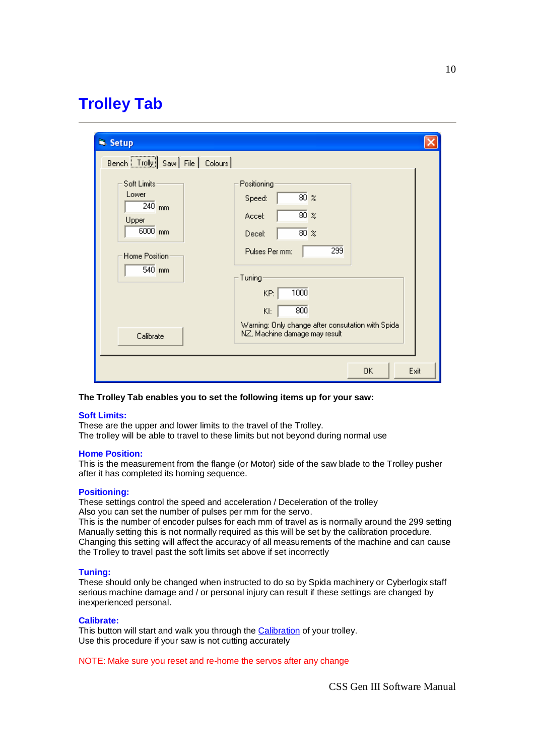# **Trolley Tab**

| Sa Setup                                                |                                                                                                   |
|---------------------------------------------------------|---------------------------------------------------------------------------------------------------|
| Bench   Trolly   Saw   File   Colours  <br>Soft Limits- | Positioning                                                                                       |
| Lower<br>$240$ <sub>mm</sub><br>Upper                   | $80\%$<br>Speed:<br>$80\%$<br>Accel:                                                              |
| 6000 mm<br>Home Position:<br>$540$ mm                   | $80\%$<br>Decel:<br>299<br>Pulses Per mm:                                                         |
|                                                         | Tuning<br>1000<br>KP:                                                                             |
| Calibrate                                               | 800<br>KI:<br>Warning: Only change after consutation with Spida-<br>NZ, Machine damage may result |
|                                                         | Exit<br>0K                                                                                        |

#### **The Trolley Tab enables you to set the following items up for your saw:**

#### **Soft Limits:**

These are the upper and lower limits to the travel of the Trolley.

The trolley will be able to travel to these limits but not beyond during normal use

#### **Home Position:**

This is the measurement from the flange (or Motor) side of the saw blade to the Trolley pusher after it has completed its homing sequence.

#### **Positioning:**

These settings control the speed and acceleration / Deceleration of the trolley Also you can set the number of pulses per mm for the servo.

This is the number of encoder pulses for each mm of travel as is normally around the 299 setting Manually setting this is not normally required as this will be set by the calibration procedure. Changing this setting will affect the accuracy of all measurements of the machine and can cause the Trolley to travel past the soft limits set above if set incorrectly

#### **Tuning:**

These should only be changed when instructed to do so by Spida machinery or Cyberlogix staff serious machine damage and / or personal injury can result if these settings are changed by inexperienced personal.

#### **Calibrate:**

This button will start and walk you through the Calibration of your trolley. Use this procedure if your saw is not cutting accurately

NOTE: Make sure you reset and re-home the servos after any change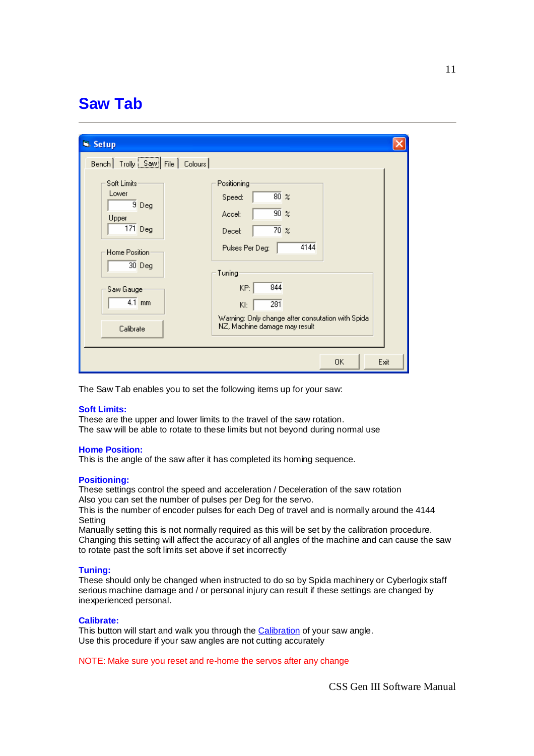## **Saw Tab**

| S. Setup                                                          |                                                                                               |
|-------------------------------------------------------------------|-----------------------------------------------------------------------------------------------|
| Bench   Trolly   Saw   File   Colours                             |                                                                                               |
| Soft Limits-<br>Lower<br>$9$ Deg<br>Upper<br>$\overline{171}$ Deg | Positioning<br>$80\%$<br>Speed:<br>$\overline{90}$ %<br>Accel:<br>$\overline{70}$ %<br>Decel: |
| Home Position<br>30 Deg                                           | 4144<br>Pulses Per Deg:<br>Tuning                                                             |
| Saw Gauge:<br>$4.1$ mm                                            | 844<br>KP:<br>281<br>KI:                                                                      |
| Calibrate                                                         | Warning: Only change after consutation with Spida-<br>NZ, Machine damage may result           |
|                                                                   | Exit<br>0K                                                                                    |

The Saw Tab enables you to set the following items up for your saw:

#### **Soft Limits:**

These are the upper and lower limits to the travel of the saw rotation. The saw will be able to rotate to these limits but not beyond during normal use

#### **Home Position:**

This is the angle of the saw after it has completed its homing sequence.

#### **Positioning:**

These settings control the speed and acceleration / Deceleration of the saw rotation Also you can set the number of pulses per Deg for the servo.

This is the number of encoder pulses for each Deg of travel and is normally around the 4144 **Setting** 

Manually setting this is not normally required as this will be set by the calibration procedure. Changing this setting will affect the accuracy of all angles of the machine and can cause the saw to rotate past the soft limits set above if set incorrectly

#### **Tuning:**

These should only be changed when instructed to do so by Spida machinery or Cyberlogix staff serious machine damage and / or personal injury can result if these settings are changed by inexperienced personal.

#### **Calibrate:**

This button will start and walk you through the Calibration of your saw angle. Use this procedure if your saw angles are not cutting accurately

NOTE: Make sure you reset and re-home the servos after any change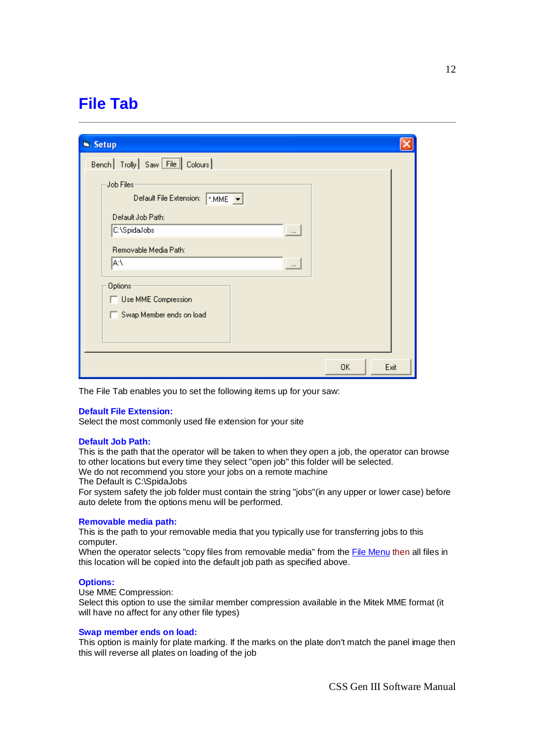# **File Tab**

| <b>N</b> . Setup                                                                            |
|---------------------------------------------------------------------------------------------|
| Bench   Trolly   Saw File   Colours                                                         |
| Job Files <sup>.</sup><br>Default File Extension:<br>$\sim$ MME $\sim$<br>Default Job Path: |
| C:\SpidaJobs<br>$\cdots$<br>Removable Media Path:<br> A:۱<br>$\cdots$                       |
| Options<br>Use MME Compression<br>Swap Member ends on load                                  |
| Exit<br>0K                                                                                  |

The File Tab enables you to set the following items up for your saw:

#### **Default File Extension:**

Select the most commonly used file extension for your site

#### **Default Job Path:**

This is the path that the operator will be taken to when they open a job, the operator can browse to other locations but every time they select "open job" this folder will be selected.

We do not recommend you store your jobs on a remote machine

The Default is C:\SpidaJobs

For system safety the job folder must contain the string "jobs"(in any upper or lower case) before auto delete from the options menu will be performed.

#### **Removable media path:**

This is the path to your removable media that you typically use for transferring jobs to this computer.

When the operator selects "copy files from removable media" from the File Menu then all files in this location will be copied into the default job path as specified above.

#### **Options:**

Use MME Compression:

Select this option to use the similar member compression available in the Mitek MME format (it will have no affect for any other file types)

#### **Swap member ends on load:**

This option is mainly for plate marking. If the marks on the plate don't match the panel image then this will reverse all plates on loading of the job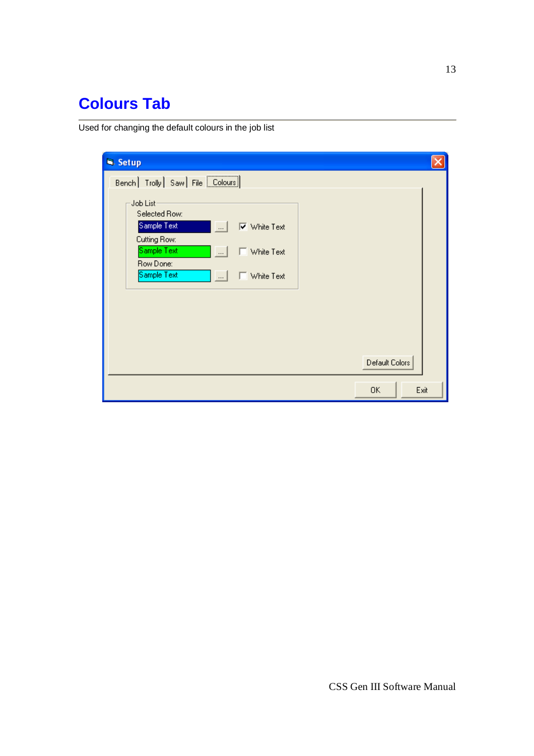# **Colours Tab**

Used for changing the default colours in the job list

| <b>N</b> . Setup                                                                                                                                                                                                                                     |                |      |
|------------------------------------------------------------------------------------------------------------------------------------------------------------------------------------------------------------------------------------------------------|----------------|------|
| Bench   Trolly   Saw   File   Colours  <br>Job List-<br>Selected Row:<br>Sample Text<br><b>▽</b> White Text<br>$\ldots$<br>Cutting Row:<br>Sample Text<br>$\cdots$<br>$\Box$ White Text<br>Row Done:<br>Sample Text<br>$\Box$ White Text<br>$\ldots$ | Default Colors |      |
|                                                                                                                                                                                                                                                      | 0K             | Exit |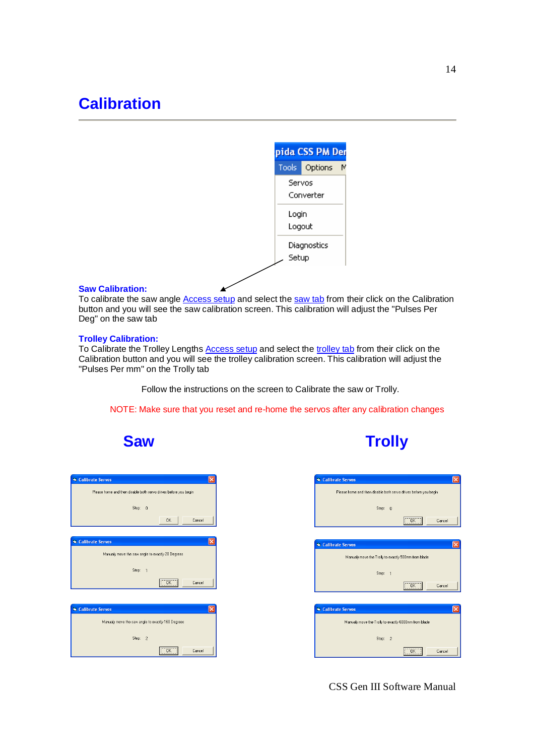

#### **Saw Calibration:**

To calibrate the saw angle **Access setup** and select the saw tab from their click on the Calibration button and you will see the saw calibration screen. This calibration will adjust the "Pulses Per Deg" on the saw tab

#### **Trolley Calibration:**

To Calibrate the Trolley Lengths Access setup and select the trolley tab from their click on the Calibration button and you will see the trolley calibration screen. This calibration will adjust the "Pulses Per mm" on the Trolly tab

Follow the instructions on the screen to Calibrate the saw or Trolly.

NOTE: Make sure that you reset and re-home the servos after any calibration changes



| <b>Saw</b> | <b>Trolly</b> |
|------------|---------------|
|------------|---------------|

| Calibrate Servos                                                |       |                |                      |        |
|-----------------------------------------------------------------|-------|----------------|----------------------|--------|
| Please home and then disable both servo drives before you begin |       |                |                      |        |
|                                                                 | Step: | $\Omega$       |                      |        |
|                                                                 |       |                |                      |        |
|                                                                 |       |                | <b>OK</b>            | Cancel |
|                                                                 |       |                |                      |        |
| Calibrate Servos                                                |       |                |                      |        |
| Manualy move the saw angle to exactly 20 Degrees                |       |                |                      |        |
|                                                                 |       |                |                      |        |
|                                                                 | Step: | $\overline{1}$ |                      |        |
|                                                                 |       |                | $\overline{OK}$<br>. | Cancel |
|                                                                 |       |                |                      |        |
| Calibrate Servos                                                |       |                |                      |        |
|                                                                 |       |                |                      |        |
| Manualy move the saw angle to exactly 160 Degrees               |       |                |                      |        |
|                                                                 | Step: | $\overline{2}$ |                      |        |
|                                                                 |       |                | $\overline{OK}$      | Cancel |



CSS Gen III Software Manual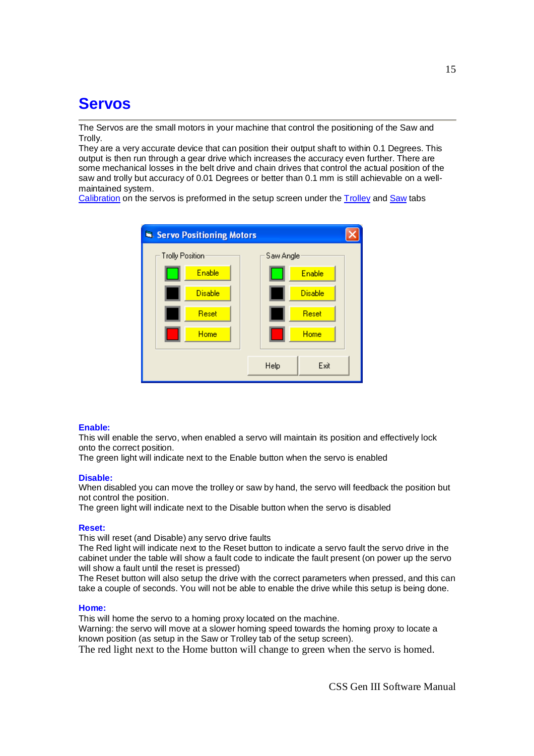# **Servos**

The Servos are the small motors in your machine that control the positioning of the Saw and Trolly.

They are a very accurate device that can position their output shaft to within 0.1 Degrees. This output is then run through a gear drive which increases the accuracy even further. There are some mechanical losses in the belt drive and chain drives that control the actual position of the saw and trolly but accuracy of 0.01 Degrees or better than 0.1 mm is still achievable on a wellmaintained system.

Calibration on the servos is preformed in the setup screen under the **Trolley** and **Saw** tabs



#### **Enable:**

This will enable the servo, when enabled a servo will maintain its position and effectively lock onto the correct position.

The green light will indicate next to the Enable button when the servo is enabled

#### **Disable:**

When disabled you can move the trolley or saw by hand, the servo will feedback the position but not control the position.

The green light will indicate next to the Disable button when the servo is disabled

#### **Reset:**

This will reset (and Disable) any servo drive faults

The Red light will indicate next to the Reset button to indicate a servo fault the servo drive in the cabinet under the table will show a fault code to indicate the fault present (on power up the servo will show a fault until the reset is pressed)

The Reset button will also setup the drive with the correct parameters when pressed, and this can take a couple of seconds. You will not be able to enable the drive while this setup is being done.

#### **Home:**

This will home the servo to a homing proxy located on the machine.

Warning: the servo will move at a slower homing speed towards the homing proxy to locate a known position (as setup in the Saw or Trolley tab of the setup screen).

The red light next to the Home button will change to green when the servo is homed.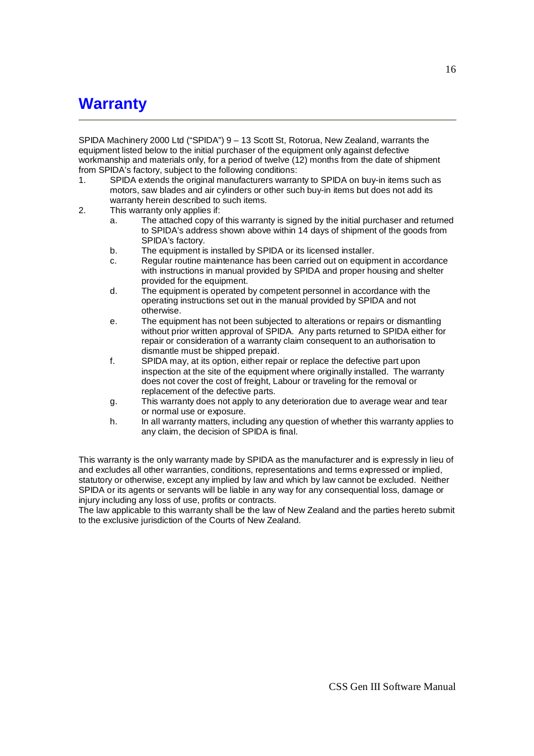# **Warranty**

SPIDA Machinery 2000 Ltd ("SPIDA") 9 – 13 Scott St, Rotorua, New Zealand, warrants the equipment listed below to the initial purchaser of the equipment only against defective workmanship and materials only, for a period of twelve (12) months from the date of shipment from SPIDA's factory, subject to the following conditions:

- 1. SPIDA extends the original manufacturers warranty to SPIDA on buy-in items such as motors, saw blades and air cylinders or other such buy-in items but does not add its warranty herein described to such items.
- 2. This warranty only applies if:
	- a. The attached copy of this warranty is signed by the initial purchaser and returned to SPIDA's address shown above within 14 days of shipment of the goods from SPIDA's factory.
	- b. The equipment is installed by SPIDA or its licensed installer.
	- c. Regular routine maintenance has been carried out on equipment in accordance with instructions in manual provided by SPIDA and proper housing and shelter provided for the equipment.
	- d. The equipment is operated by competent personnel in accordance with the operating instructions set out in the manual provided by SPIDA and not otherwise.
	- e. The equipment has not been subjected to alterations or repairs or dismantling without prior written approval of SPIDA. Any parts returned to SPIDA either for repair or consideration of a warranty claim consequent to an authorisation to dismantle must be shipped prepaid.
	- f. SPIDA may, at its option, either repair or replace the defective part upon inspection at the site of the equipment where originally installed. The warranty does not cover the cost of freight, Labour or traveling for the removal or replacement of the defective parts.
	- g. This warranty does not apply to any deterioration due to average wear and tear or normal use or exposure.
	- h. In all warranty matters, including any question of whether this warranty applies to any claim, the decision of SPIDA is final.

This warranty is the only warranty made by SPIDA as the manufacturer and is expressly in lieu of and excludes all other warranties, conditions, representations and terms expressed or implied, statutory or otherwise, except any implied by law and which by law cannot be excluded. Neither SPIDA or its agents or servants will be liable in any way for any consequential loss, damage or injury including any loss of use, profits or contracts.

The law applicable to this warranty shall be the law of New Zealand and the parties hereto submit to the exclusive jurisdiction of the Courts of New Zealand.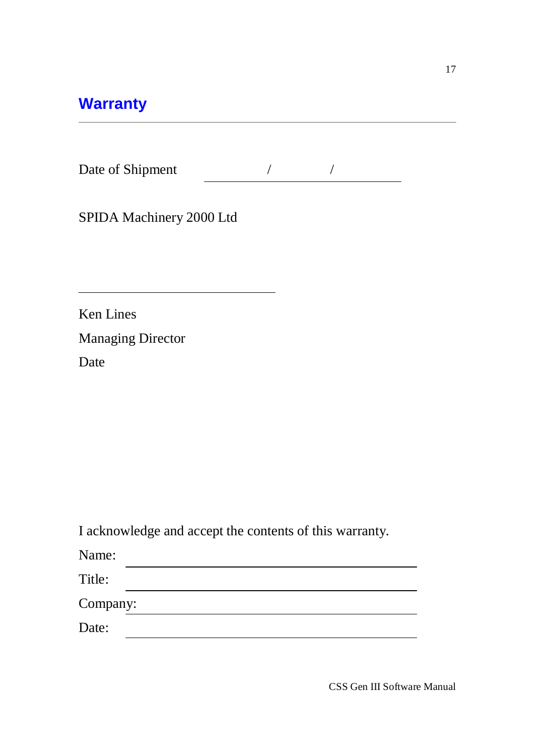# **Warranty**

| Date of Shipment |  |  |  |
|------------------|--|--|--|
|------------------|--|--|--|

SPIDA Machinery 2000 Ltd

Ken Lines Managing Director Date

I acknowledge and accept the contents of this warranty.

<u> 1980 - Johann Barn, mars ann an t-Amhain Aonaich an t-Aonaich an t-Aonaich ann an t-Aonaich ann an t-Aonaich</u>

Name:

Title:

Company:

Date: